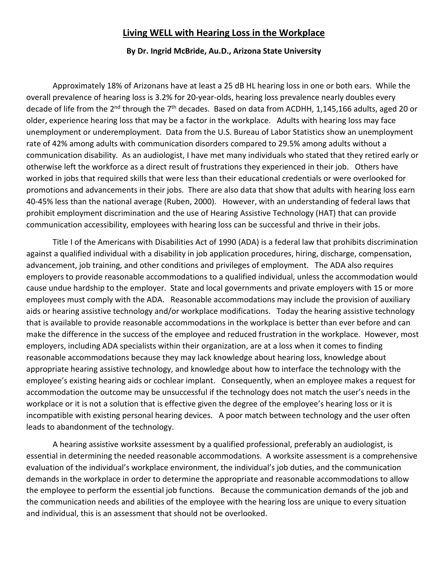## **Living WELL with Hearing Loss in the Workplace**

## **By Dr. Ingrid McBride, Au.D., Arizona State University**

Approximately 18% of Arizonans have at least a 25 dB HL hearing loss in one or both ears. While the overall prevalence of hearing loss is 3.2% for 20-year-olds, hearing loss prevalence nearly doubles every decade of life from the 2<sup>nd</sup> through the 7<sup>th</sup> decades. Based on data from ACDHH, 1,145,166 adults, aged 20 or older, experience hearing loss that may be a factor in the workplace. Adults with hearing loss may face unemployment or underemployment. Data from the U.S. Bureau of Labor Statistics show an unemployment rate of 42% among adults with communication disorders compared to 29.5% among adults without a communication disability. As an audiologist, I have met many individuals who stated that they retired early or otherwise left the workforce as a direct result of frustrations they experienced in their job. Others have worked in jobs that required skills that were less than their educational credentials or were overlooked for promotions and advancements in their jobs. There are also data that show that adults with hearing loss earn 40-45% less than the national average (Ruben, 2000). However, with an understanding of federal laws that prohibit employment discrimination and the use of Hearing Assistive Technology (HAT) that can provide communication accessibility, employees with hearing loss can be successful and thrive in their jobs.

Title I of the Americans with Disabilities Act of 1990 (ADA) is a federal law that prohibits discrimination against a qualified individual with a disability in job application procedures, hiring, discharge, compensation, advancement, job training, and other conditions and privileges of employment. The ADA also requires employers to provide reasonable accommodations to a qualified individual, unless the accommodation would cause undue hardship to the employer. State and local governments and private employers with 15 or more employees must comply with the ADA. Reasonable accommodations may include the provision of auxiliary aids or hearing assistive technology and/or workplace modifications. Today the hearing assistive technology that is available to provide reasonable accommodations in the workplace is better than ever before and can make the difference in the success of the employee and reduced frustration in the workplace. However, most employers, including ADA specialists within their organization, are at a loss when it comes to finding reasonable accommodations because they may lack knowledge about hearing loss, knowledge about appropriate hearing assistive technology, and knowledge about how to interface the technology with the employee's existing hearing aids or cochlear implant. Consequently, when an employee makes a request for accommodation the outcome may be unsuccessful if the technology does not match the user's needs in the workplace or it is not a solution that is effective given the degree of the employee's hearing loss or it is incompatible with existing personal hearing devices. A poor match between technology and the user often leads to abandonment of the technology.

A hearing assistive worksite assessment by a qualified professional, preferably an audiologist, is essential in determining the needed reasonable accommodations. A worksite assessment is a comprehensive evaluation of the individual's workplace environment, the individual's job duties, and the communication demands in the workplace in order to determine the appropriate and reasonable accommodations to allow the employee to perform the essential job functions. Because the communication demands of the job and the communication needs and abilities of the employee with the hearing loss are unique to every situation and individual, this is an assessment that should not be overlooked.